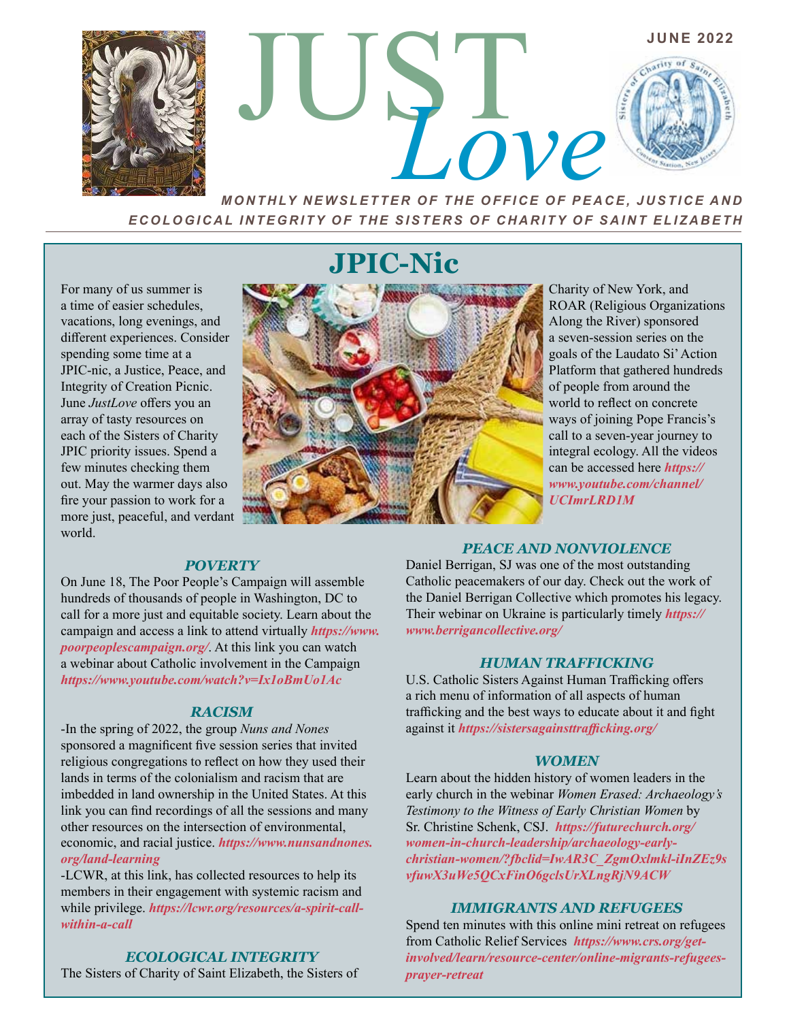

*MONTHLY NEWSLETTER OF THE OFFICE OF PEACE, JUSTICE AND ECOLOGICAL INTEGRITY OF THE SISTERS OF CHARITY OF SAINT ELIZABETH*

For many of us summer is a time of easier schedules, vacations, long evenings, and different experiences. Consider spending some time at a JPIC-nic, a Justice, Peace, and Integrity of Creation Picnic. June *JustLove* offers you an array of tasty resources on each of the Sisters of Charity JPIC priority issues. Spend a few minutes checking them out. May the warmer days also fire your passion to work for a more just, peaceful, and verdant world.

# **JPIC-Nic**



Charity of New York, and ROAR (Religious Organizations Along the River) sponsored a seven-session series on the goals of the Laudato Si' Action Platform that gathered hundreds of people from around the world to reflect on concrete ways of joining Pope Francis's call to a seven-year journey to integral ecology. All the videos can be accessed here *https:// www.youtube.com/channel/ UCImrLRD1M*

#### *POVERTY*

On June 18, The Poor People's Campaign will assemble hundreds of thousands of people in Washington, DC to call for a more just and equitable society. Learn about the campaign and access a link to attend virtually *https://www. poorpeoplescampaign.org/*. At this link you can watch a webinar about Catholic involvement in the Campaign *https://www.youtube.com/watch?v=Ix1oBmUo1Ac*

#### *RACISM*

-In the spring of 2022, the group *Nuns and Nones*  sponsored a magnificent five session series that invited religious congregations to reflect on how they used their lands in terms of the colonialism and racism that are imbedded in land ownership in the United States. At this link you can find recordings of all the sessions and many other resources on the intersection of environmental, economic, and racial justice. *https://www.nunsandnones. org/land-learning*

-LCWR, at this link, has collected resources to help its members in their engagement with systemic racism and while privilege. *https://lcwr.org/resources/a-spirit-callwithin-a-call* 

## *ECOLOGICAL INTEGRITY*

The Sisters of Charity of Saint Elizabeth, the Sisters of

#### *PEACE AND NONVIOLENCE*

Daniel Berrigan, SJ was one of the most outstanding Catholic peacemakers of our day. Check out the work of the Daniel Berrigan Collective which promotes his legacy. Their webinar on Ukraine is particularly timely *https:// www.berrigancollective.org/*

#### *HUMAN TRAFFICKING*

U.S. Catholic Sisters Against Human Trafficking offers a rich menu of information of all aspects of human trafficking and the best ways to educate about it and fight against it *https://sistersagainsttrafficking.org/* 

#### *WOMEN*

Learn about the hidden history of women leaders in the early church in the webinar *Women Erased: Archaeology's Testimony to the Witness of Early Christian Women* by Sr. Christine Schenk, CSJ. *https://futurechurch.org/ women-in-church-leadership/archaeology-earlychristian-women/?fbclid=IwAR3C\_ZgmOxlmkl-iInZEz9s vfuwX3uWe5QCxFinO6gclsUrXLngRjN9ACW*

#### *IMMIGRANTS AND REFUGEES*

Spend ten minutes with this online mini retreat on refugees from Catholic Relief Services *https://www.crs.org/getinvolved/learn/resource-center/online-migrants-refugeesprayer-retreat*